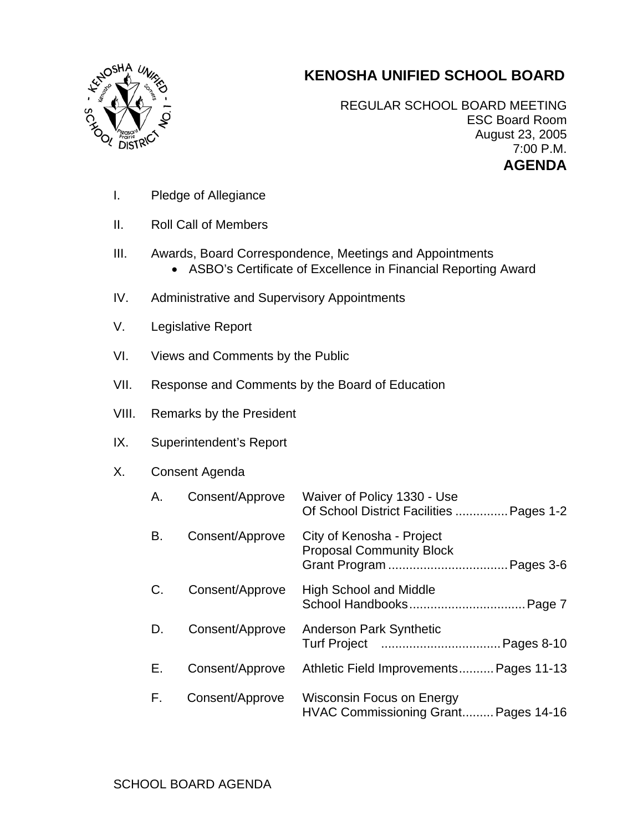## **KENOSHA UNIFIED SCHOOL BOARD**



REGULAR SCHOOL BOARD MEETING ESC Board Room August 23, 2005 7:00 P.M. **AGENDA** 

- I. Pledge of Allegiance
- II. Roll Call of Members
- III. Awards, Board Correspondence, Meetings and Appointments
	- ASBO's Certificate of Excellence in Financial Reporting Award
- IV. Administrative and Supervisory Appointments
- V. Legislative Report
- VI. Views and Comments by the Public
- VII. Response and Comments by the Board of Education
- VIII. Remarks by the President
- IX. Superintendent's Report

## X. Consent Agenda

| A. | Consent/Approve | Waiver of Policy 1330 - Use<br>Of School District Facilities  Pages 1-2  |
|----|-----------------|--------------------------------------------------------------------------|
| В. | Consent/Approve | City of Kenosha - Project<br><b>Proposal Community Block</b>             |
| C. | Consent/Approve | <b>High School and Middle</b>                                            |
| D. | Consent/Approve | <b>Anderson Park Synthetic</b>                                           |
| Е. | Consent/Approve | Athletic Field Improvements Pages 11-13                                  |
| F. | Consent/Approve | <b>Wisconsin Focus on Energy</b><br>HVAC Commissioning Grant Pages 14-16 |